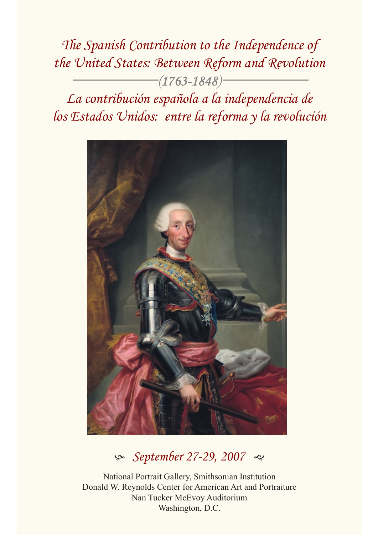*The Spanish Contribution to the Independence of the United States: Between Reform and Revolution*  $-(1763 - 1848)$ <sup>-</sup> *La contribución española a la independencia de los Estados Unidos: entre la reforma y la revolución*



# $\textdegree$  *September 27-29, 2007*

National Portrait Gallery, Smithsonian Institution Donald W. Reynolds Center for American Art and Portraiture Nan Tucker McEvoy Auditorium Washington, D.C.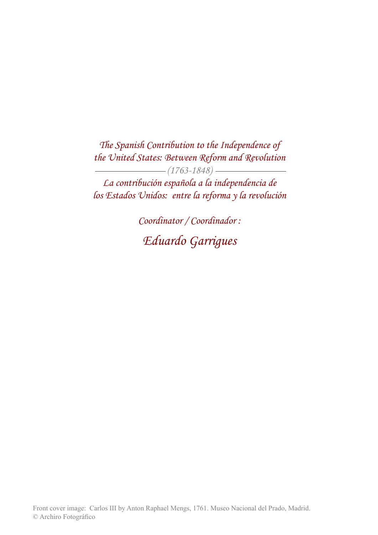*The Spanish Contribution to the Independence of the United States: Between Reform and Revolution (1763-1848)* 

*La contribución española a la independencia de los Estados Unidos: entre la reforma y la revolución*

> *Coordinator / Coordinador : Eduardo Garrigues*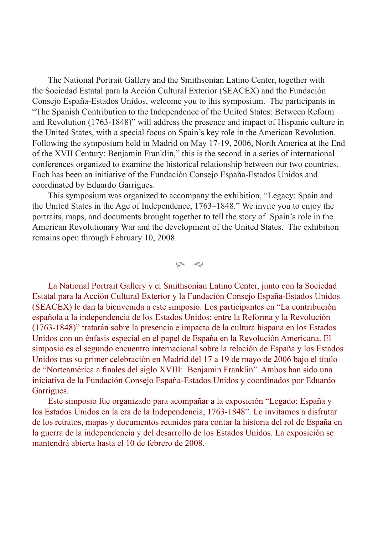The National Portrait Gallery and the Smithsonian Latino Center, together with the Sociedad Estatal para la Acción Cultural Exterior (SEACEX) and the Fundación Consejo España-Estados Unidos, welcome you to this symposium. The participants in "The Spanish Contribution to the Independence of the United States: Between Reform and Revolution (1763-1848)" will address the presence and impact of Hispanic culture in the United States, with a special focus on Spain's key role in the American Revolution. Following the symposium held in Madrid on May 17-19, 2006, North America at the End of the XVII Century: Benjamin Franklin," this is the second in a series of international conferences organized to examine the historical relationship between our two countries. Each has been an initiative of the Fundación Consejo España-Estados Unidos and coordinated by Eduardo Garrigues.

This symposium was organized to accompany the exhibition, "Legacy: Spain and the United States in the Age of Independence, 1763–1848." We invite you to enjoy the portraits, maps, and documents brought together to tell the story of Spain's role in the American Revolutionary War and the development of the United States. The exhibition remains open through February 10, 2008.

 $\infty$  2

La National Portrait Gallery y el Smithsonian Latino Center, junto con la Sociedad Estatal para la Acción Cultural Exterior y la Fundación Consejo España-Estados Unidos (SEACEX) le dan la bienvenida a este simposio. Los participantes en "La contribución española a la independencia de los Estados Unidos: entre la Reforma y la Revolución (1763-1848)" tratarán sobre la presencia e impacto de la cultura hispana en los Estados Unidos con un énfasis especial en el papel de España en la Revolución Americana. El simposio es el segundo encuentro internacional sobre la relación de España y los Estados Unidos tras su primer celebración en Madrid del 17 a 19 de mayo de 2006 bajo el título de "Norteamérica a fnales del siglo XVIII: Benjamin Franklin". Ambos han sido una iniciativa de la Fundación Consejo España-Estados Unidos y coordinados por Eduardo Garrigues.

Este simposio fue organizado para acompañar a la exposición "Legado: España y los Estados Unidos en la era de la Independencia, 1763-1848". Le invitamos a disfrutar de los retratos, mapas y documentos reunidos para contar la historia del rol de España en la guerra de la independencia y del desarrollo de los Estados Unidos. La exposición se mantendrá abierta hasta el 10 de febrero de 2008.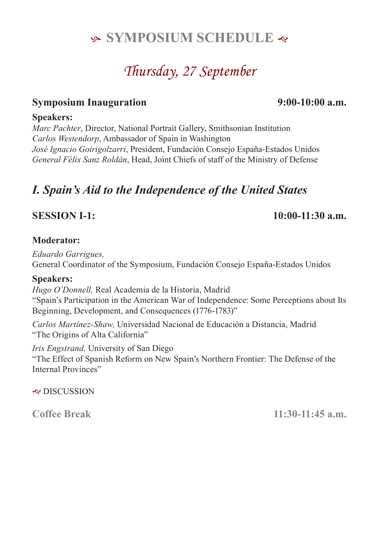# **SYMPOSIUM SCHEDULE**

# *Thursday, 27 September*

### **Symposium Inauguration 9:00-10:00 a.m.**

### **Speakers:**

*Marc Pachter*, Director, National Portrait Gallery, Smithsonian Institution *Carlos Westendorp*, Ambassador of Spain in Washington *José Ignacio Goirigolzarri*, President, Fundación Consejo España-Estados Unidos *General Félix Sanz Roldán*, Head, Joint Chiefs of staff of the Ministry of Defense

# *I. Spain's Aid to the Independence of the United States*

### **SESSION I-1: 10:00-11:30 a.m.**

### **Moderator:**

*Eduardo Garrigues,*  General Coordinator of the Symposium, Fundación Consejo España-Estados Unidos

#### **Speakers:**

*Hugo O'Donnell,* Real Academia de la Historia, Madrid "Spain's Participation in the American War of Independence: Some Perceptions about Its Beginning, Development, and Consequences (1776-1783)"

*Carlos Martínez-Shaw,* Universidad Nacional de Educación a Distancia, Madrid "The Origins of Alta California"

*Iris Engstrand,* University of San Diego "The Effect of Spanish Reform on New Spain's Northern Frontier: The Defense of the Internal Provinces"

 $\triangleleft$  DISCUSSION

**Coffee Break 11:30-11:45 a.m.**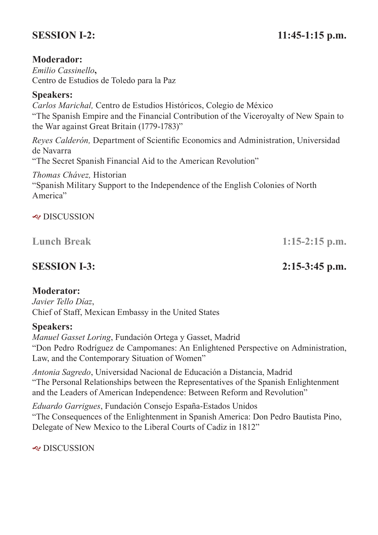# **SESSION I-2:** 11:45-1:15 p.m.

#### **Moderador:**

*Emilio Cassinello***,**  Centro de Estudios de Toledo para la Paz

#### **Speakers:**

*Carlos Marichal,* Centro de Estudios Históricos, Colegio de México "The Spanish Empire and the Financial Contribution of the Viceroyalty of New Spain to the War against Great Britain (1779-1783)"

*Reyes Calderón,* Department of Scientifc Economics and Administration, Universidad de Navarra

"The Secret Spanish Financial Aid to the American Revolution"

*Thomas Chávez,* Historian

"Spanish Military Support to the Independence of the English Colonies of North America"

#### & DISCUSSION

**Lunch Break 1:15-2:15 p.m.**

### **SESSION I-3: 2:15-3:45 p.m.**

#### **Moderator:**

*Javier Tello Díaz*, Chief of Staff, Mexican Embassy in the United States

#### **Speakers:**

*Manuel Gasset Loring*, Fundación Ortega y Gasset, Madrid "Don Pedro Rodríguez de Campomanes: An Enlightened Perspective on Administration, Law, and the Contemporary Situation of Women"

*Antonia Sagredo*, Universidad Nacional de Educación a Distancia, Madrid "The Personal Relationships between the Representatives of the Spanish Enlightenment and the Leaders of American Independence: Between Reform and Revolution"

*Eduardo Garrigues*, Fundación Consejo España-Estados Unidos "The Consequences of the Enlightenment in Spanish America: Don Pedro Bautista Pino, Delegate of New Mexico to the Liberal Courts of Cadiz in 1812"

& DISCUSSION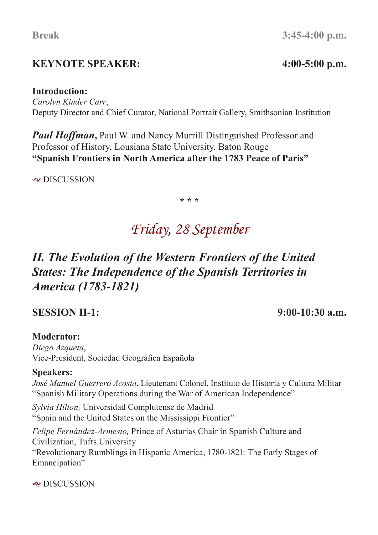# **KEYNOTE SPEAKER: 4:00-5:00 p.m.**

# **Break 3:45-4:00 p.m.**

#### **Introduction:**

*Carolyn Kinder Carr*, Deputy Director and Chief Curator, National Portrait Gallery, Smithsonian Institution

*Paul Hoffman*, Paul W. and Nancy Murrill Distinguished Professor and Professor of History, Lousiana State University, Baton Rouge **"Spanish Frontiers in North America after the 1783 Peace of Paris"**

J DISCUSSION

**\* \* \***

# *Friday, 28 September*

# *II. The Evolution of the Western Frontiers of the United States: The Independence of the Spanish Territories in America (1783-1821)*

### **SESSION II-1: 9:00-10:30 a.m.**

### **Moderator:**

*Diego Azqueta*, Vice-President, Sociedad Geográfca Española

### **Speakers:**

*José Manuel Guerrero Acosta*, Lieutenant Colonel, Instituto de Historia y Cultura Militar "Spanish Military Operations during the War of American Independence"

*Sylvia Hilton,* Universidad Complutense de Madrid "Spain and the United States on the Mississippi Frontier"

*Felipe Fernández-Armesto,* Prince of Asturias Chair in Spanish Culture and Civilization, Tufts University "Revolutionary Rumblings in Hispanic America, 1780-1821: The Early Stages of Emancipation"

 $\approx$  DISCUSSION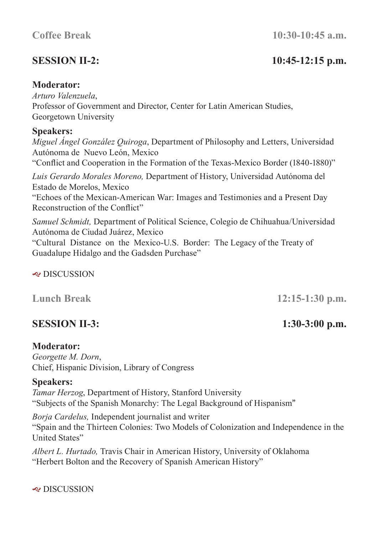# **SESSION II-2: 10:45-12:15 p.m.**

#### **Moderator:**

*Arturo Valenzuela*, Professor of Government and Director, Center for Latin American Studies, Georgetown University

#### **Speakers:**

*Miguel Ángel González Quiroga*, Department of Philosophy and Letters, Universidad Autónoma de Nuevo León, Mexico

"Confict and Cooperation in the Formation of the Texas-Mexico Border (1840-1880)"

*Luis Gerardo Morales Moreno,* Department of History, Universidad Autónoma del Estado de Morelos, Mexico

"Echoes of the Mexican-American War: Images and Testimonies and a Present Day Reconstruction of the Confict"

*Samuel Schmidt,* Department of Political Science, Colegio de Chihuahua/Universidad Autónoma de Ciudad Juárez, Mexico

"Cultural Distance on the Mexico-U.S. Border: The Legacy of the Treaty of Guadalupe Hidalgo and the Gadsden Purchase"

#### J DISCUSSION

**Lunch Break 12:15-1:30 p.m.**

### **SESSION II-3: 1:30-3:00 p.m.**

#### **Moderator:**

*Georgette M. Dorn*, Chief, Hispanic Division, Library of Congress

#### **Speakers:**

*Tamar Herzog*, Department of History, Stanford University "Subjects of the Spanish Monarchy: The Legal Background of Hispanism"

*Borja Cardelus,* Independent journalist and writer "Spain and the Thirteen Colonies: Two Models of Colonization and Independence in the United States"

*Albert L. Hurtado,* Travis Chair in American History, University of Oklahoma "Herbert Bolton and the Recovery of Spanish American History"

 $\triangleleft$  DISCUSSION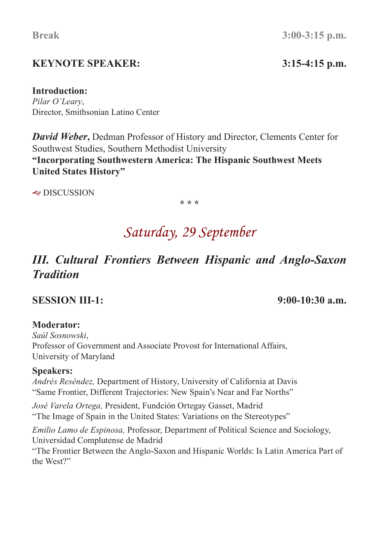# **KEYNOTE SPEAKER: 3:15-4:15 p.m.**

**Break 3:00-3:15 p.m.**

#### **Introduction:**

*Pilar O'Leary*, Director, Smithsonian Latino Center

*David Weber*, Dedman Professor of History and Director, Clements Center for Southwest Studies, Southern Methodist University **"Incorporating Southwestern America: The Hispanic Southwest Meets United States History"**

 $\approx$  DISCUSSION

**\* \* \***

# *Saturday, 29 September*

# *III. Cultural Frontiers Between Hispanic and Anglo-Saxon Tradition*

### **SESSION III-1: 9:00-10:30 a.m.**

### **Moderator:**

*Saúl Sosnowski*, Professor of Government and Associate Provost for International Affairs, University of Maryland

### **Speakers:**

*Andrés Reséndez,* Department of History, University of California at Davis "Same Frontier, Different Trajectories: New Spain's Near and Far Norths"

*José Varela Ortega,* President, Fundción Ortegay Gasset, Madrid "The Image of Spain in the United States: Variations on the Stereotypes"

*Emilio Lamo de Espinosa,* Professor, Department of Political Science and Sociology, Universidad Complutense de Madrid

"The Frontier Between the Anglo-Saxon and Hispanic Worlds: Is Latin America Part of the West?"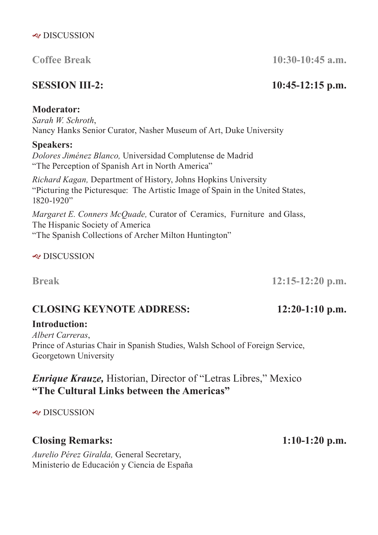### **Coffee Break 10:30-10:45 a.m.**

## **SESSION III-2: 10:45-12:15 p.m.**

### **Moderator:**

*Sarah W. Schroth*, Nancy Hanks Senior Curator, Nasher Museum of Art, Duke University

#### **Speakers:**

*Dolores Jiménez Blanco,* Universidad Complutense de Madrid "The Perception of Spanish Art in North America"

*Richard Kagan,* Department of History, Johns Hopkins University "Picturing the Picturesque: The Artistic Image of Spain in the United States, 1820-1920"

*Margaret E. Conners McQuade,* Curator of Ceramics, Furniture and Glass, The Hispanic Society of America "The Spanish Collections of Archer Milton Huntington"

 $\approx$  DISCUSSION

**Break 12:15-12:20 p.m.**

# **CLOSING KEYNOTE ADDRESS: 12:20-1:10 p.m.**

### **Introduction:**

*Albert Carreras*, Prince of Asturias Chair in Spanish Studies, Walsh School of Foreign Service, Georgetown University

## *Enrique Krauze,* Historian, Director of "Letras Libres," Mexico **"The Cultural Links between the Americas"**

& DISCUSSION

# **Closing Remarks: 1:10-1:20 p.m.**

*Aurelio Pérez Giralda,* General Secretary, Ministerio de Educación y Ciencia de España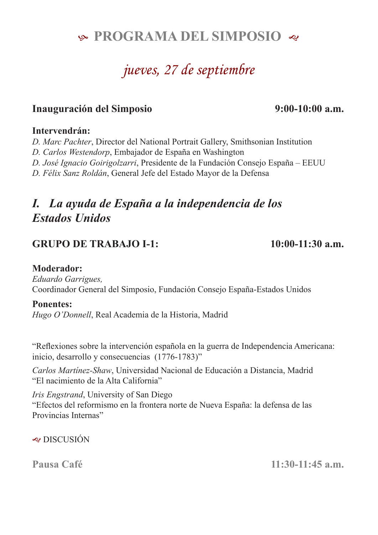# **& PROGRAMA DEL SIMPOSIO &**

# *jueves, 27 de septiembre*

### **Inauguración del Simposio 9:00-10:00 a.m.**

#### **Intervendrán:**

*D. Marc Pachter*, Director del National Portrait Gallery, Smithsonian Institution

*D. Carlos Westendorp*, Embajador de España en Washington

*D. José Ignacio Goirigolzarri*, Presidente de la Fundación Consejo España – EEUU

*D. Félix Sanz Roldán*, General Jefe del Estado Mayor de la Defensa

# *I. La ayuda de España a la independencia de los Estados Unidos*

### **GRUPO DE TRABAJO I-1: 10:00-11:30 a.m.**

#### **Moderador:**

*Eduardo Garrigues,* Coordinador General del Simposio, Fundación Consejo España-Estados Unidos

#### **Ponentes:**

*Hugo O'Donnell*, Real Academia de la Historia, Madrid

"Refexiones sobre la intervención española en la guerra de Independencia Americana: inicio, desarrollo y consecuencias (1776-1783)"

*Carlos Martínez-Shaw*, Universidad Nacional de Educación a Distancia, Madrid "El nacimiento de la Alta California"

*Iris Engstrand*, University of San Diego "Efectos del reformismo en la frontera norte de Nueva España: la defensa de las Provincias Internas"

 $\approx$  DISCUSIÓN

**Pausa Café 11:30-11:45 a.m.**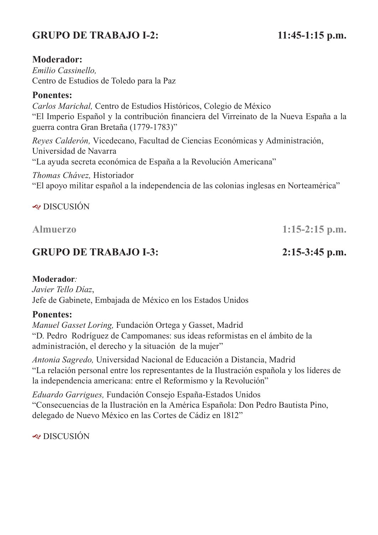# **GRUPO DE TRABAJO I-2: 11:45-1:15 p.m.**

#### **Moderador:**

*Emilio Cassinello,* Centro de Estudios de Toledo para la Paz

#### **Ponentes:**

*Carlos Marichal,* Centro de Estudios Históricos, Colegio de México "El Imperio Español y la contribución fnanciera del Virreinato de la Nueva España a la guerra contra Gran Bretaña (1779-1783)"

*Reyes Calderón,* Vicedecano, Facultad de Ciencias Económicas y Administración, Universidad de Navarra

"La ayuda secreta económica de España a la Revolución Americana"

#### *Thomas Chávez,* Historiador

"El apoyo militar español a la independencia de las colonias inglesas en Norteamérica"

#### $\approx$  DISCUSIÓN

**Almuerzo 1:15-2:15 p.m.**

### **GRUPO DE TRABAJO I-3: 2:15-3:45 p.m.**

#### **Moderador***:*

*Javier Tello Díaz*, Jefe de Gabinete, Embajada de México en los Estados Unidos

#### **Ponentes:**

*Manuel Gasset Loring,* Fundación Ortega y Gasset, Madrid "D. Pedro Rodríguez de Campomanes: sus ideas reformistas en el ámbito de la administración, el derecho y la situación de la mujer"

*Antonia Sagredo,* Universidad Nacional de Educación a Distancia, Madrid "La relación personal entre los representantes de la Ilustración española y los líderes de la independencia americana: entre el Reformismo y la Revolución"

*Eduardo Garrigues,* Fundación Consejo España-Estados Unidos "Consecuencias de la Ilustración en la América Española: Don Pedro Bautista Pino, delegado de Nuevo México en las Cortes de Cádiz en 1812"

 $\approx$  DISCUSIÓN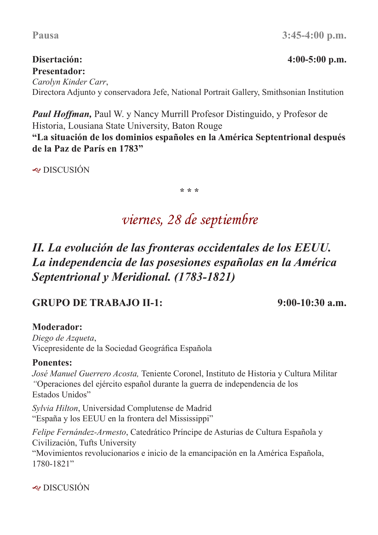# **Presentador:**

*Carolyn Kinder Carr*, Directora Adjunto y conservadora Jefe, National Portrait Gallery, Smithsonian Institution

*Paul Hoffman,* Paul W. y Nancy Murrill Profesor Distinguido, y Profesor de Historia, Lousiana State University, Baton Rouge

**"La situación de los dominios españoles en la América Septentrional después de la Paz de París en 1783"**

 $\approx$  DISCUSIÓN

**\* \* \***

# *viernes, 28 de septiembre*

# *II. La evolución de las fronteras occidentales de los EEUU. La independencia de las posesiones españolas en la América Septentrional y Meridional. (1783-1821)*

## **GRUPO DE TRABAJO II-1: 9:00-10:30 a.m.**

### **Moderador:**

*Diego de Azqueta*, Vicepresidente de la Sociedad Geográfca Española

### **Ponentes:**

*José Manuel Guerrero Acosta,* Teniente Coronel, Instituto de Historia y Cultura Militar *"*Operaciones del ejército español durante la guerra de independencia de los Estados Unidos"

*Sylvia Hilton*, Universidad Complutense de Madrid "España y los EEUU en la frontera del Mississippi"

*Felipe Fernández-Armesto*, Catedrático Príncipe de Asturias de Cultura Española y Civilización, Tufts University

"Movimientos revolucionarios e inicio de la emancipación en la América Española, 1780-1821"

 $\approx$  DISCUSIÓN

### **Disertación: 4:00-5:00 p.m.**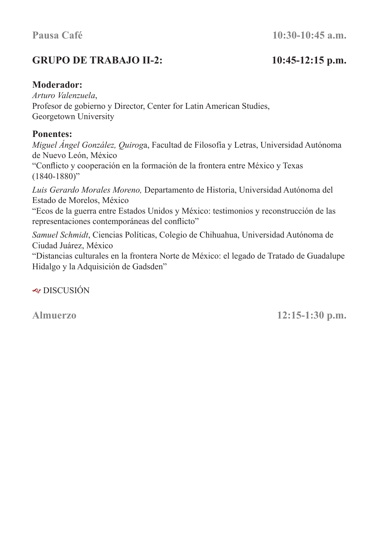# **GRUPO DE TRABAJO II-2: 10:45-12:15 p.m.**

### **Moderador:**

*Arturo Valenzuela*, Profesor de gobierno y Director, Center for Latin American Studies, Georgetown University

#### **Ponentes:**

*Miguel Ángel González, Quirog*a, Facultad de Filosofía y Letras, Universidad Autónoma de Nuevo León, México "Conficto y cooperación en la formación de la frontera entre México y Texas (1840-1880)"

*Luis Gerardo Morales Moreno,* Departamento de Historia, Universidad Autónoma del Estado de Morelos, México

"Ecos de la guerra entre Estados Unidos y México: testimonios y reconstrucción de las representaciones contemporáneas del conficto"

*Samuel Schmidt*, Ciencias Políticas, Colegio de Chihuahua, Universidad Autónoma de Ciudad Juárez, México

"Distancias culturales en la frontera Norte de México: el legado de Tratado de Guadalupe Hidalgo y la Adquisición de Gadsden"

 $\approx$  DISCUSIÓN

**Almuerzo 12:15-1:30 p.m.**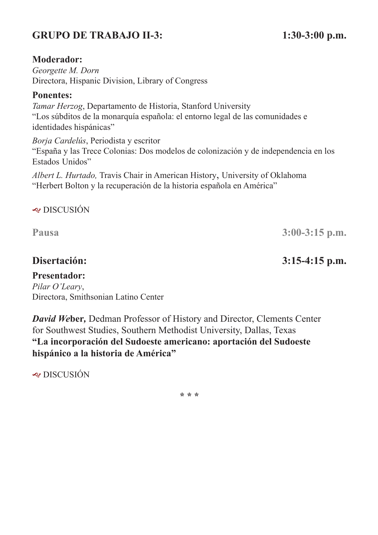# **GRUPO DE TRABAJO II-3: 1:30-3:00 p.m.**

#### **Moderador:**

*Georgette M. Dorn* Directora, Hispanic Division, Library of Congress

#### **Ponentes:**

*Tamar Herzog*, Departamento de Historia, Stanford University "Los súbditos de la monarquía española: el entorno legal de las comunidades e identidades hispánicas"

*Borja Cardelús*, Periodista y escritor "España y las Trece Colonias: Dos modelos de colonización y de independencia en los Estados Unidos"

*Albert L. Hurtado,* Travis Chair in American History, University of Oklahoma "Herbert Bolton y la recuperación de la historia española en América"

 $\approx$  DISCUSIÓN

**Pausa 3:00-3:15 p.m.**

### **Disertación: 3:15-4:15 p.m.**

**Presentador:** *Pilar O'Leary*, Directora, Smithsonian Latino Center

*David We***ber***,* Dedman Professor of History and Director, Clements Center for Southwest Studies, Southern Methodist University, Dallas, Texas **"La incorporación del Sudoeste americano: aportación del Sudoeste hispánico a la historia de América"** 

 $\approx$  DISCUSIÓN

**\* \* \***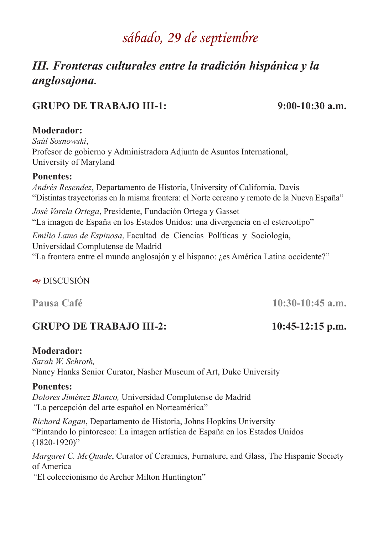# *sábado, 29 de septiembre*

# *III. Fronteras culturales entre la tradición hispánica y la anglosajona***.**

## **GRUPO DE TRABAJO III-1: 9:00-10:30 a.m.**

### **Moderador:**

*Saúl Sosnowski*, Profesor de gobierno y Administradora Adjunta de Asuntos International, University of Maryland

#### **Ponentes:**

*Andrés Resendez*, Departamento de Historia, University of California, Davis "Distintas trayectorias en la misma frontera: el Norte cercano y remoto de la Nueva España"

*José Varela Ortega*, Presidente, Fundación Ortega y Gasset "La imagen de España en los Estados Unidos: una divergencia en el estereotipo"

*Emilio Lamo de Espinosa*, Facultad de Ciencias Políticas y Sociología, Universidad Complutense de Madrid "La frontera entre el mundo anglosajón y el hispano: ¿es América Latina occidente?"

### $\approx$  DISCUSIÓN

## **GRUPO DE TRABAJO III-2: 10:45-12:15 p.m.**

### **Moderador:**

*Sarah W. Schroth,*  Nancy Hanks Senior Curator, Nasher Museum of Art, Duke University

### **Ponentes:**

*Dolores Jiménez Blanco,* Universidad Complutense de Madrid *"*La percepción del arte español en Norteamérica"

*Richard Kagan*, Departamento de Historia, Johns Hopkins University "Pintando lo pintoresco: La imagen artística de España en los Estados Unidos  $(1820 - 1920)$ "

*Margaret C. McQuade*, Curator of Ceramics, Furnature, and Glass, The Hispanic Society of America

*"*El coleccionismo de Archer Milton Huntington"

**Pausa Café 10:30-10:45 a.m.**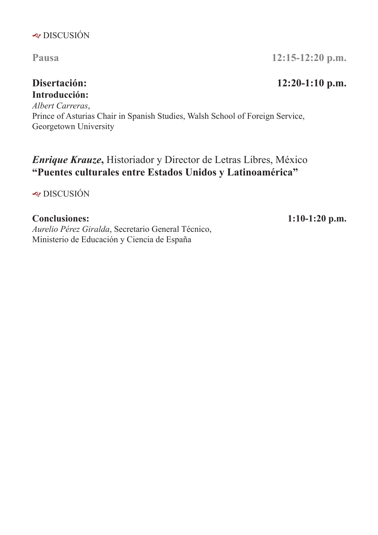### $\triangleleft$  DISCUSIÓN

# **Introducción:**

*Albert Carreras*, Prince of Asturias Chair in Spanish Studies, Walsh School of Foreign Service, Georgetown University

# *Enrique Krauze***,** Historiador y Director de Letras Libres, México **"Puentes culturales entre Estados Unidos y Latinoamérica"**

 $\triangleleft$  DISCUSIÓN

*Aurelio Pérez Giralda*, Secretario General Técnico, Ministerio de Educación y Ciencia de España

**Pausa 12:15-12:20 p.m.**

### **Disertación: 12:20-1:10 p.m.**

#### **Conclusiones: 1:10-1:20 p.m.**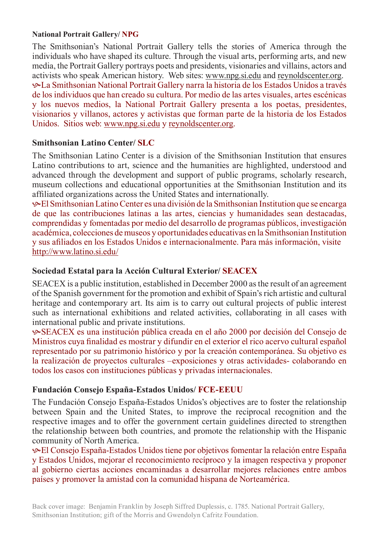#### **National Portrait Gallery/ NPG**

The Smithsonian's National Portrait Gallery tells the stories of America through the individuals who have shaped its culture. Through the visual arts, performing arts, and new media, the Portrait Gallery portrays poets and presidents, visionaries and villains, actors and activists who speak American history. Web sites: www.npg.si.edu and reynoldscenter.org. KLa Smithsonian National Portrait Gallery narra la historia de los Estados Unidos a través de los individuos que han creado su cultura. Por medio de las artes visuales, artes escénicas y los nuevos medios, la National Portrait Gallery presenta a los poetas, presidentes, visionarios y villanos, actores y activistas que forman parte de la historia de los Estados Unidos. Sitios web: www.npg.si.edu y reynoldscenter.org.

#### **Smithsonian Latino Center/ SLC**

The Smithsonian Latino Center is a division of the Smithsonian Institution that ensures Latino contributions to art, science and the humanities are highlighted, understood and advanced through the development and support of public programs, scholarly research, museum collections and educational opportunities at the Smithsonian Institution and its affliated organizations across the United States and internationally.

KEl Smithsonian Latino Center es una división de la Smithsonian Institution que se encarga de que las contribuciones latinas a las artes, ciencias y humanidades sean destacadas, comprendidas y fomentadas por medio del desarrollo de programas públicos, investigación académica, colecciones de museos y oportunidades educativas en la Smithsonian Institution y sus afliados en los Estados Unidos e internacionalmente. Para más información, visite http://www.latino.si.edu/

#### **Sociedad Estatal para la Acción Cultural Exterior/ SEACEX**

SEACEX is a public institution, established in December 2000 as the result of an agreement of the Spanish government for the promotion and exhibit of Spain's rich artistic and cultural heritage and contemporary art. Its aim is to carry out cultural projects of public interest such as international exhibitions and related activities, collaborating in all cases with international public and private institutions.

KSEACEX es una institución pública creada en el año 2000 por decisión del Consejo de Ministros cuya fnalidad es mostrar y difundir en el exterior el rico acervo cultural español representado por su patrimonio histórico y por la creación contemporánea. Su objetivo es la realización de proyectos culturales –exposiciones y otras actividades- colaborando en todos los casos con instituciones públicas y privadas internacionales.

#### **Fundación Consejo España-Estados Unidos/ FCE-EEUU**

The Fundación Consejo España-Estados Unidos's objectives are to foster the relationship between Spain and the United States, to improve the reciprocal recognition and the respective images and to offer the government certain guidelines directed to strengthen the relationship between both countries, and promote the relationship with the Hispanic community of North America.

KEl Consejo España-Estados Unidos tiene por objetivos fomentar la relación entre España y Estados Unidos, mejorar el reconocimiento recíproco y la imagen respectiva y proponer al gobierno ciertas acciones encaminadas a desarrollar mejores relaciones entre ambos países y promover la amistad con la comunidad hispana de Norteamérica.